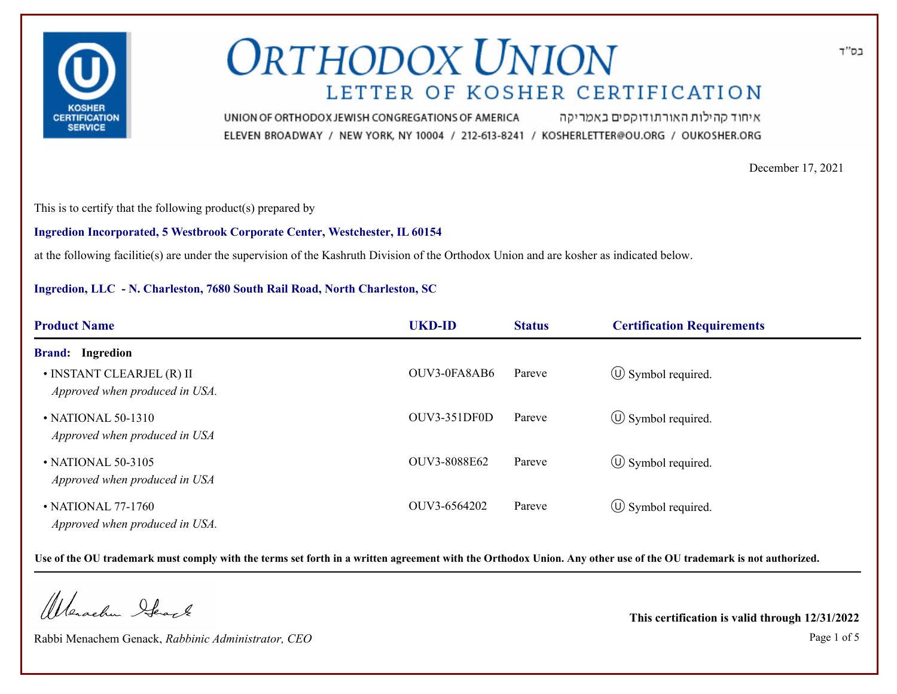

איחוד קהילות האורתודוקסים באמריקה UNION OF ORTHODOX JEWISH CONGREGATIONS OF AMERICA ELEVEN BROADWAY / NEW YORK, NY 10004 / 212-613-8241 / KOSHERLETTER@OU.ORG / OUKOSHER.ORG

December 17, 2021

This is to certify that the following product(s) prepared by

**Ingredion Incorporated, 5 Westbrook Corporate Center, Westchester, IL 60154**

at the following facilitie(s) are under the supervision of the Kashruth Division of the Orthodox Union and are kosher as indicated below.

### **Ingredion, LLC - N. Charleston, 7680 South Rail Road, North Charleston, SC**

| <b>Product Name</b>                                         | <b>UKD-ID</b> | <b>Status</b> | <b>Certification Requirements</b> |  |
|-------------------------------------------------------------|---------------|---------------|-----------------------------------|--|
| <b>Brand:</b> Ingredion                                     |               |               |                                   |  |
| • INSTANT CLEARJEL (R) II<br>Approved when produced in USA. | OUV3-0FA8AB6  | Pareve        | $\circled{1}$ Symbol required.    |  |
| • NATIONAL 50-1310<br>Approved when produced in USA         | OUV3-351DF0D  | Pareve        | $\circled{1}$ Symbol required.    |  |
| • NATIONAL 50-3105<br>Approved when produced in USA         | OUV3-8088E62  | Pareve        | $\circled{0}$ Symbol required.    |  |
| • NATIONAL 77-1760<br>Approved when produced in USA.        | OUV3-6564202  | Pareve        | $\circled{1}$ Symbol required.    |  |

**Use of the OU trademark must comply with the terms set forth in a written agreement with the Orthodox Union. Any other use of the OU trademark is not authorized.**

Werschn Heart

Rabbi Menachem Genack, *Rabbinic Administrator, CEO* Page 1 of 5

**This certification is valid through 12/31/2022**

בס"ד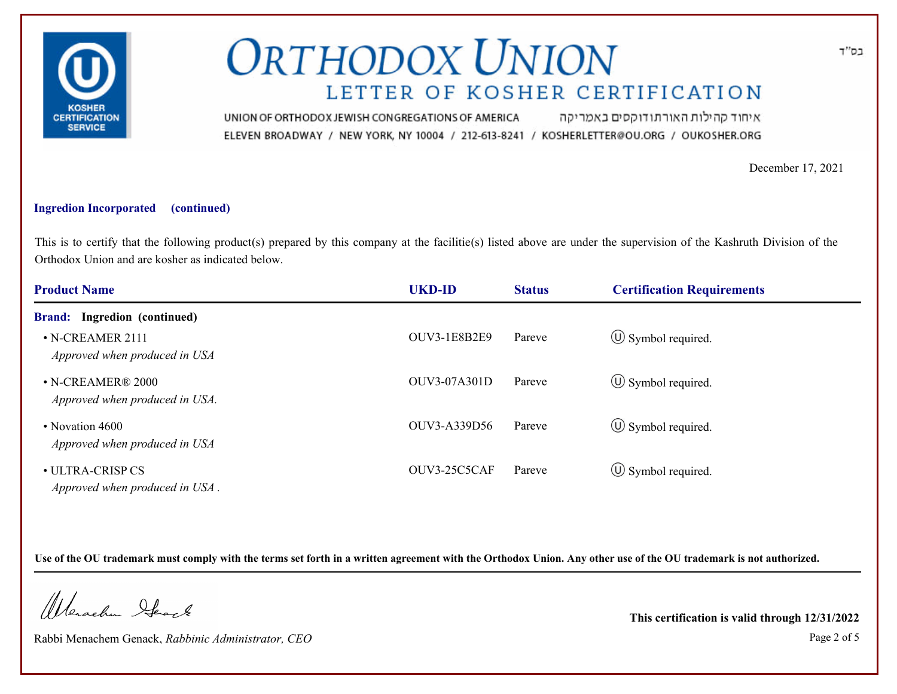

איחוד קהילות האורתודוקסים באמריקה UNION OF ORTHODOX JEWISH CONGREGATIONS OF AMERICA ELEVEN BROADWAY / NEW YORK, NY 10004 / 212-613-8241 / KOSHERLETTER@OU.ORG / OUKOSHER.ORG

December 17, 2021

#### **Ingredion Incorporated (continued)**

This is to certify that the following product(s) prepared by this company at the facilitie(s) listed above are under the supervision of the Kashruth Division of the Orthodox Union and are kosher as indicated below.

| <b>Product Name</b>                                 | <b>UKD-ID</b>       | <b>Status</b> | <b>Certification Requirements</b> |  |
|-----------------------------------------------------|---------------------|---------------|-----------------------------------|--|
| <b>Brand:</b> Ingredion (continued)                 |                     |               |                                   |  |
| • N-CREAMER 2111<br>Approved when produced in USA   | <b>OUV3-1E8B2E9</b> | Pareve        | $\circ$ Symbol required.          |  |
| • N-CREAMER® 2000<br>Approved when produced in USA. | <b>OUV3-07A301D</b> | Pareve        | $\circled{1}$ Symbol required.    |  |
| • Novation 4600<br>Approved when produced in USA    | OUV3-A339D56        | Pareve        | $\circled{0}$ Symbol required.    |  |
| • ULTRA-CRISP CS<br>Approved when produced in USA.  | OUV3-25C5CAF        | Pareve        | $\circled{1}$ Symbol required.    |  |

**Use of the OU trademark must comply with the terms set forth in a written agreement with the Orthodox Union. Any other use of the OU trademark is not authorized.**

Werachen Stack

Rabbi Menachem Genack, *Rabbinic Administrator, CEO* Page 2 of 5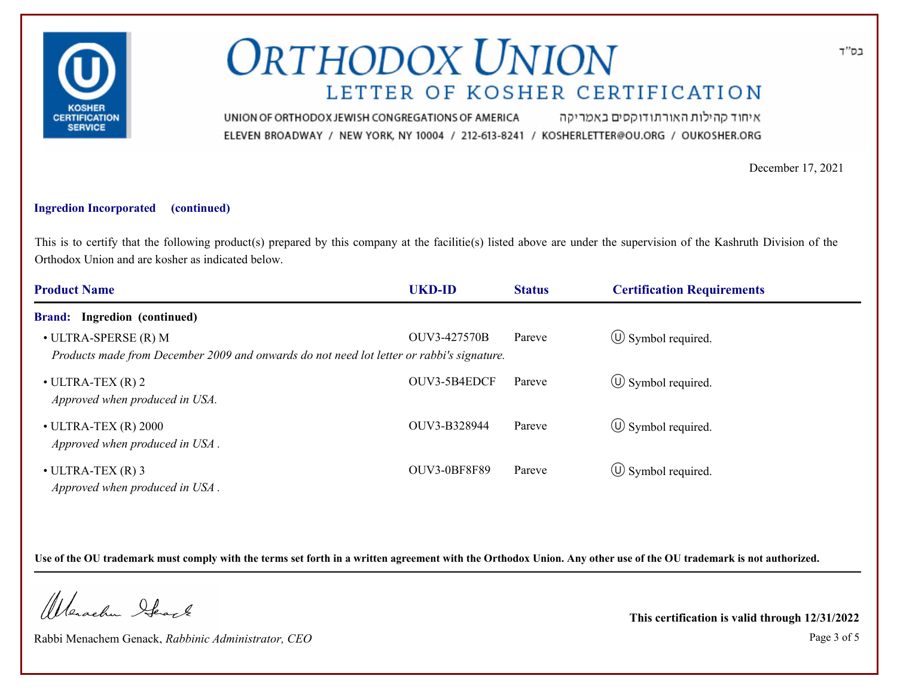

איחוד קהילות האורתודוקסים באמריקה UNION OF ORTHODOX JEWISH CONGREGATIONS OF AMERICA ELEVEN BROADWAY / NEW YORK, NY 10004 / 212-613-8241 / KOSHERLETTER@OU.ORG / OUKOSHER.ORG

December 17, 2021

### **Ingredion Incorporated (continued)**

This is to certify that the following product(s) prepared by this company at the facilitie(s) listed above are under the supervision of the Kashruth Division of the Orthodox Union and are kosher as indicated below.

| <b>Product Name</b>                                                                                                       | <b>UKD-ID</b>       | <b>Status</b> | <b>Certification Requirements</b> |  |
|---------------------------------------------------------------------------------------------------------------------------|---------------------|---------------|-----------------------------------|--|
| <b>Brand:</b> Ingredion (continued)                                                                                       |                     |               |                                   |  |
| $\bullet$ ULTRA-SPERSE (R) M<br>Products made from December 2009 and onwards do not need lot letter or rabbi's signature. | OUV3-427570B        | Pareve        | $\circled{1}$ Symbol required.    |  |
| $\bullet$ ULTRA-TEX (R) 2<br>Approved when produced in USA.                                                               | OUV3-5B4EDCF        | Pareve        | $\circ$ Symbol required.          |  |
| $\bullet$ ULTRA-TEX (R) 2000<br>Approved when produced in USA.                                                            | OUV3-B328944        | Pareve        | $\circ$ Symbol required.          |  |
| $\bullet$ ULTRA-TEX $(R)$ 3<br>Approved when produced in USA.                                                             | <b>OUV3-0BF8F89</b> | Pareve        | $\circ$ Symbol required.          |  |

**Use of the OU trademark must comply with the terms set forth in a written agreement with the Orthodox Union. Any other use of the OU trademark is not authorized.**

Werachen Ifearle

Rabbi Menachem Genack, *Rabbinic Administrator, CEO* Page 3 of 5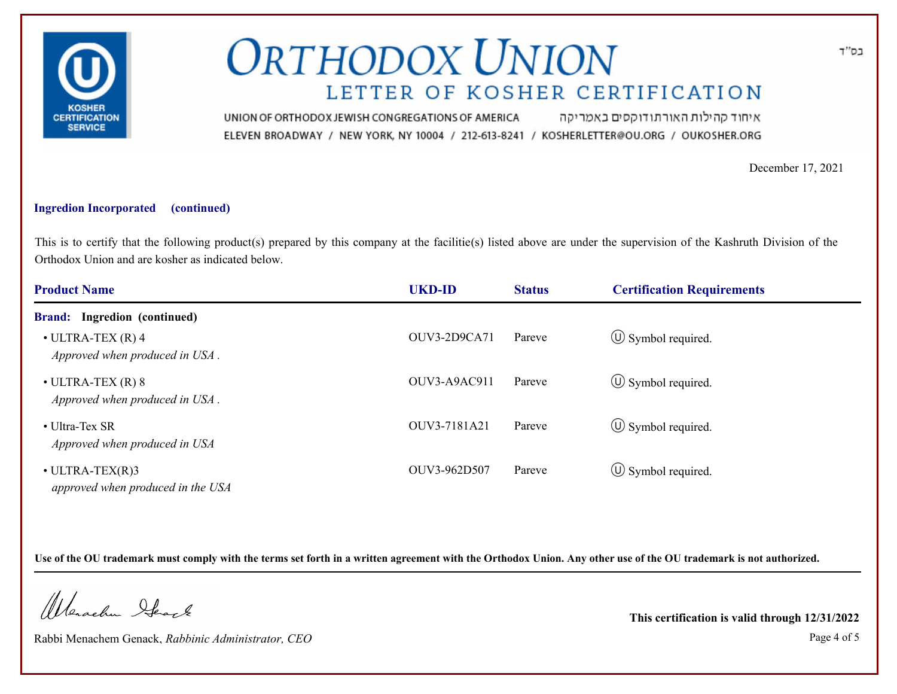

איחוד קהילות האורתודוקסים באמריקה UNION OF ORTHODOX JEWISH CONGREGATIONS OF AMERICA ELEVEN BROADWAY / NEW YORK, NY 10004 / 212-613-8241 / KOSHERLETTER@OU.ORG / OUKOSHER.ORG

December 17, 2021

#### **Ingredion Incorporated (continued)**

This is to certify that the following product(s) prepared by this company at the facilitie(s) listed above are under the supervision of the Kashruth Division of the Orthodox Union and are kosher as indicated below.

| <b>Product Name</b>                                           | <b>UKD-ID</b> | <b>Status</b> | <b>Certification Requirements</b> |  |
|---------------------------------------------------------------|---------------|---------------|-----------------------------------|--|
| <b>Brand:</b> Ingredion (continued)                           |               |               |                                   |  |
| $\bullet$ ULTRA-TEX $(R)$ 4<br>Approved when produced in USA. | OUV3-2D9CA71  | Pareve        | $\circled{1}$ Symbol required.    |  |
| $\bullet$ ULTRA-TEX (R) 8<br>Approved when produced in USA.   | OUV3-A9AC911  | Pareve        | $\circled{0}$ Symbol required.    |  |
| • Ultra-Tex SR<br>Approved when produced in USA               | OUV3-7181A21  | Pareve        | $\circled{1}$ Symbol required.    |  |
| $\cdot$ ULTRA-TEX(R)3<br>approved when produced in the USA    | OUV3-962D507  | Pareve        | $\circled{1}$ Symbol required.    |  |

**Use of the OU trademark must comply with the terms set forth in a written agreement with the Orthodox Union. Any other use of the OU trademark is not authorized.**

Werachen Stack

Rabbi Menachem Genack, *Rabbinic Administrator, CEO* Page 4 of 5